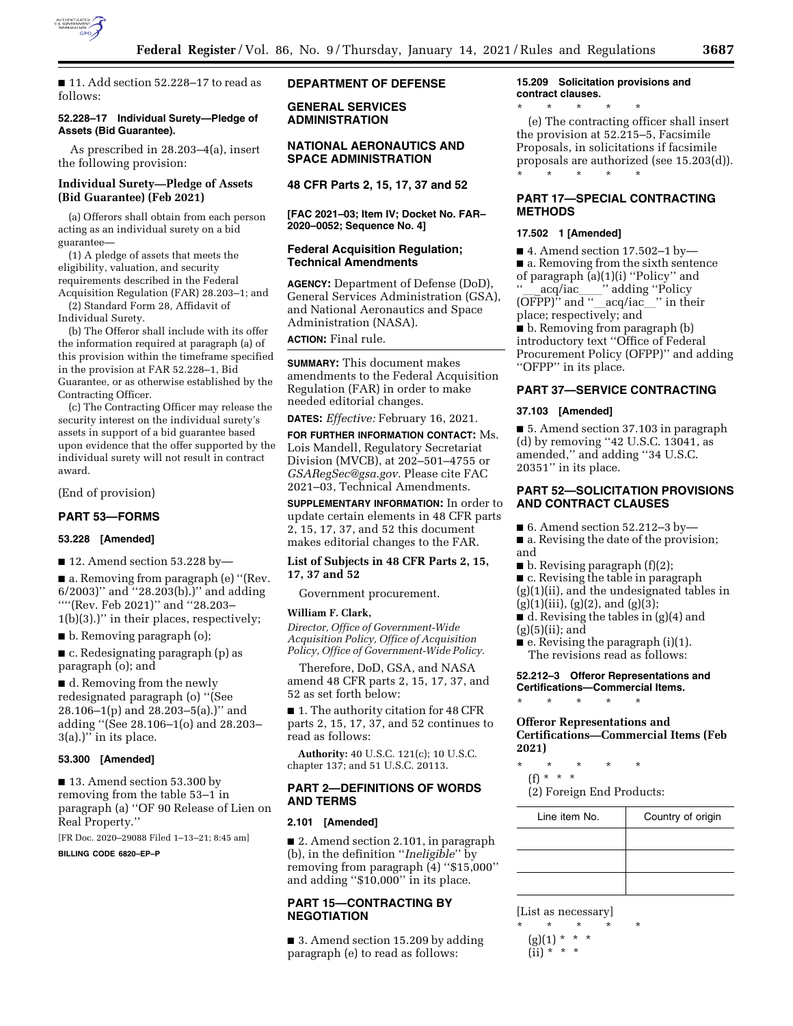

■ 11. Add section 52.228–17 to read as follows:

### **52.228–17 Individual Surety—Pledge of Assets (Bid Guarantee).**

As prescribed in 28.203–4(a), insert the following provision:

# **Individual Surety—Pledge of Assets (Bid Guarantee) (Feb 2021)**

(a) Offerors shall obtain from each person acting as an individual surety on a bid guarantee—

(1) A pledge of assets that meets the eligibility, valuation, and security requirements described in the Federal Acquisition Regulation (FAR) 28.203–1; and

(2) Standard Form 28, Affidavit of Individual Surety.

(b) The Offeror shall include with its offer the information required at paragraph (a) of this provision within the timeframe specified in the provision at FAR 52.228–1, Bid Guarantee, or as otherwise established by the Contracting Officer.

(c) The Contracting Officer may release the security interest on the individual surety's assets in support of a bid guarantee based upon evidence that the offer supported by the individual surety will not result in contract award.

(End of provision)

### **PART 53—FORMS**

### **53.228 [Amended]**

■ 12. Amend section 53.228 by—

■ a. Removing from paragraph (e) "(Rev. 6/2003)'' and ''28.203(b).)'' and adding ''''(Rev. Feb 2021)'' and ''28.203– 1(b)(3).)'' in their places, respectively;

■ b. Removing paragraph (o);

■ c. Redesignating paragraph (p) as paragraph (o); and

■ d. Removing from the newly redesignated paragraph (o) ''(See 28.106–1(p) and 28.203–5(a).)'' and adding ''(See 28.106–1(o) and 28.203–  $3(a)$ .)" in its place.

### **53.300 [Amended]**

■ 13. Amend section 53.300 by removing from the table 53–1 in paragraph (a) ''OF 90 Release of Lien on Real Property.''

[FR Doc. 2020–29088 Filed 1–13–21; 8:45 am]

**BILLING CODE 6820–EP–P** 

# **DEPARTMENT OF DEFENSE**

**GENERAL SERVICES ADMINISTRATION** 

### **NATIONAL AERONAUTICS AND SPACE ADMINISTRATION**

**48 CFR Parts 2, 15, 17, 37 and 52** 

**[FAC 2021–03; Item IV; Docket No. FAR– 2020–0052; Sequence No. 4]** 

### **Federal Acquisition Regulation; Technical Amendments**

**AGENCY:** Department of Defense (DoD), General Services Administration (GSA), and National Aeronautics and Space Administration (NASA).

# **ACTION:** Final rule.

**SUMMARY:** This document makes amendments to the Federal Acquisition Regulation (FAR) in order to make needed editorial changes.

**DATES:** *Effective:* February 16, 2021.

**FOR FURTHER INFORMATION CONTACT:** Ms. Lois Mandell, Regulatory Secretariat Division (MVCB), at 202–501–4755 or *[GSARegSec@gsa.gov.](mailto:GSARegSec@gsa.gov)* Please cite FAC 2021–03, Technical Amendments.

**SUPPLEMENTARY INFORMATION:** In order to update certain elements in 48 CFR parts 2, 15, 17, 37, and 52 this document makes editorial changes to the FAR.

# **List of Subjects in 48 CFR Parts 2, 15, 17, 37 and 52**

Government procurement.

# **William F. Clark,**

*Director, Office of Government-Wide Acquisition Policy, Office of Acquisition Policy, Office of Government-Wide Policy.* 

Therefore, DoD, GSA, and NASA amend 48 CFR parts 2, 15, 17, 37, and 52 as set forth below:

■ 1. The authority citation for 48 CFR parts 2, 15, 17, 37, and 52 continues to read as follows:

**Authority:** 40 U.S.C. 121(c); 10 U.S.C. chapter 137; and 51 U.S.C. 20113.

# **PART 2—DEFINITIONS OF WORDS AND TERMS**

#### **2.101 [Amended]**

■ 2. Amend section 2.101, in paragraph (b), in the definition ''*Ineligible*'' by removing from paragraph (4) ''\$15,000'' and adding ''\$10,000'' in its place.

# **PART 15—CONTRACTING BY NEGOTIATION**

■ 3. Amend section 15.209 by adding paragraph (e) to read as follows:

#### **15.209 Solicitation provisions and contract clauses.**

\* \* \* \* \*

(e) The contracting officer shall insert the provision at 52.215–5, Facsimile Proposals, in solicitations if facsimile proposals are authorized (see 15.203(d)). \* \* \* \* \*

# **PART 17—SPECIAL CONTRACTING METHODS**

#### **17.502 1 [Amended]**

■ 4. Amend section 17.502–1 by— ■ a. Removing from the sixth sentence of paragraph (a)(1)(i) ''Policy'' and "\_\_acq/iac\_\_\_\_'' adding "Policy<br>(OFPP)'' and "\_\_acq/iac\_\_\_'' in the (OFPP)'' and ''\_\_acq/iac\_\_'' in their<br>place: respectively: and place; respectively; and

■ b. Removing from paragraph (b) introductory text ''Office of Federal Procurement Policy (OFPP)'' and adding "OFPP" in its place.

### **PART 37—SERVICE CONTRACTING**

#### **37.103 [Amended]**

■ 5. Amend section 37.103 in paragraph (d) by removing ''42 U.S.C. 13041, as amended,'' and adding ''34 U.S.C. 20351'' in its place.

# **PART 52—SOLICITATION PROVISIONS AND CONTRACT CLAUSES**

- $\blacksquare$  6. Amend section 52.212–3 by—
- a. Revising the date of the provision; and
- $\blacksquare$  b. Revising paragraph (f)(2);
- c. Revising the table in paragraph
- (g)(1)(ii), and the undesignated tables in  $(g)(1)(iii), (g)(2), and (g)(3);$
- d. Revising the tables in (g)(4) and
- $(g)(5)(ii)$ ; and
- $\blacksquare$  e. Revising the paragraph (i)(1). The revisions read as follows:

### **52.212–3 Offeror Representations and Certifications—Commercial Items.**

\* \* \* \* \*

**Offeror Representations and Certifications—Commercial Items (Feb 2021)** 

- \* \* \* \* \* (f) \* \* \*
	- (2) Foreign End Products:

| Line item No. | Country of origin |
|---------------|-------------------|
|               |                   |
|               |                   |
|               |                   |

[List as necessary]

\* \* \* \* \*

 $(g)(1) * * * *$ 

 $(ii) * * * *$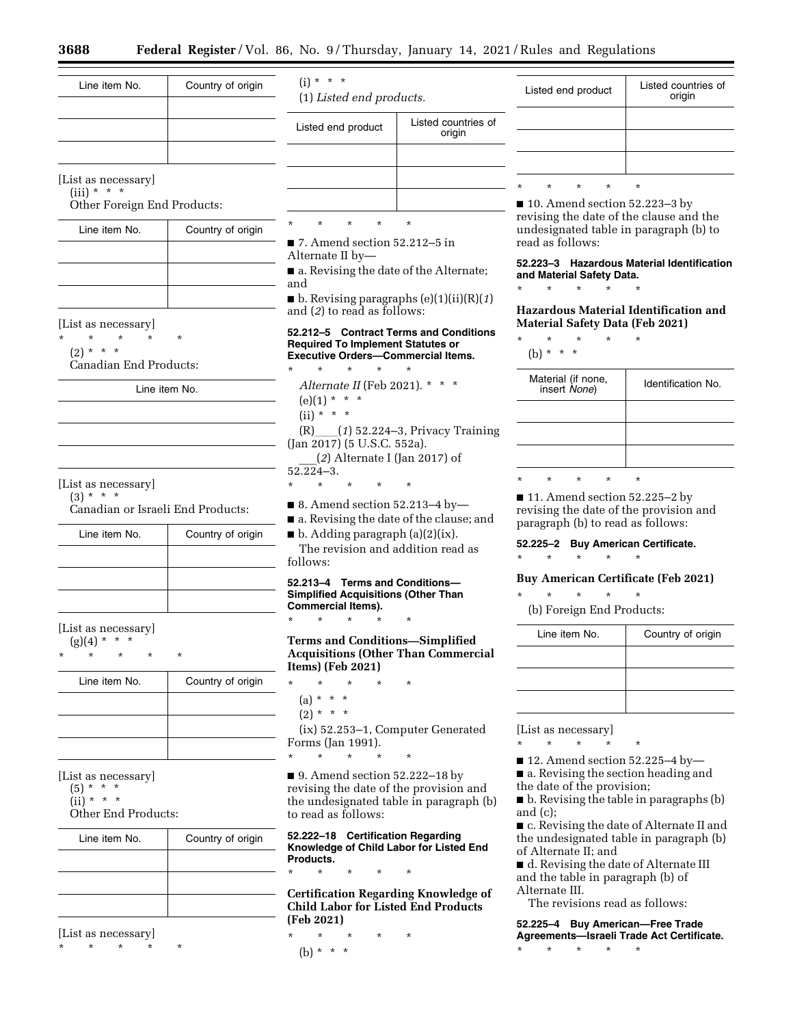Line item No. | Country of origin

[List as necessary]  $(iii) * * * *$ 

Other Foreign End Products:

| Line item No. | Country of origin |
|---------------|-------------------|
|               |                   |
|               |                   |
|               |                   |

[List as necessary]

 $\star$   $\star$ 

 $(2) * * * *$ 

Canadian End Products:

Line item No.

# [List as necessary]

 $(3) * * * *$ Canadian or Israeli End Products:

| Line item No. | Country of origin |
|---------------|-------------------|
|               |                   |
|               |                   |
|               |                   |

[List as necessary]

 $(g)(4) * * * *$ 

\* \* \* \* \*

| Line item No. | Country of origin |
|---------------|-------------------|
|               |                   |
|               |                   |
|               |                   |

[List as necessary]

 $(5) * * * *$  $(ii) * * * *$ 

Other End Products:

| Line item No. | Country of origin |
|---------------|-------------------|
|               |                   |
|               |                   |
|               |                   |

[List as necessary]

\* \* \* \* \*

 $(i) * * * *$ (1) *Listed end products.*  Listed end product Listed countries of origin \* \* \* \* \*

■ 7. Amend section 52.212–5 in Alternate II by—

■ a. Revising the date of the Alternate; and

■ b. Revising paragraphs (e)(1)(ii)(R)(*1*) and (*2*) to read as follows:

### **52.212–5 Contract Terms and Conditions Required To Implement Statutes or Executive Orders—Commercial Items.**

\* \* \* \* \* *Alternate II* (Feb 2021). \* \* \*  $(e)(1) * * * *$  $(ii) * * * *$ (R)ll(*1*) 52.224–3, Privacy Training (Jan 2017) (5 U.S.C. 552a). \_\_\_(*2*) Alternate I (Jan 2017) of

 $52.224 - 3.$ 

- \* \* \* \* \*
- 8. Amend section 52.213–4 by—

■ a. Revising the date of the clause; and

 $\blacksquare$  b. Adding paragraph (a)(2)(ix). The revision and addition read as follows:

# **52.213–4 Terms and Conditions— Simplified Acquisitions (Other Than Commercial Items).**

\* \* \* \* \*

**Terms and Conditions—Simplified Acquisitions (Other Than Commercial Items) (Feb 2021)** 

- \* \* \* \* \*
- (a) \* \* \*
- $(2) * * * *$

(ix) 52.253–1, Computer Generated Forms (Jan 1991). \* \* \* \* \*

■ 9. Amend section 52.222–18 by revising the date of the provision and the undesignated table in paragraph (b) to read as follows:

**52.222–18 Certification Regarding Knowledge of Child Labor for Listed End Products.** 

\* \* \* \* \* **Certification Regarding Knowledge of Child Labor for Listed End Products (Feb 2021)** 

\* \* \* \* \* (b) \* \* \*

| Listed end product |   |         |   | Listed countries of<br>origin |
|--------------------|---|---------|---|-------------------------------|
|                    |   |         |   |                               |
|                    |   |         |   |                               |
|                    |   |         |   |                               |
|                    | ÷ | $\star$ | ÷ | ÷                             |

■ 10. Amend section 52.223–3 by revising the date of the clause and the undesignated table in paragraph (b) to read as follows:

**52.223–3 Hazardous Material Identification and Material Safety Data.** 

**Hazardous Material Identification and Material Safety Data (Feb 2021)** 

\* \* \* \* \* (b)  $* * * *$ 

\* \* \* \* \*

|          | Material (if none,<br>insert None) |         |          | Identification No. |
|----------|------------------------------------|---------|----------|--------------------|
|          |                                    |         |          |                    |
|          |                                    |         |          |                    |
|          |                                    |         |          |                    |
| $^\star$ | $\star$                            | $\star$ | $^\star$ | $^\star$           |

■ 11. Amend section 52.225–2 by revising the date of the provision and paragraph (b) to read as follows:

# **52.225–2 Buy American Certificate.**

\* \* \* \* \*

# **Buy American Certificate (Feb 2021)**

\* \* \* \* \*

(b) Foreign End Products:

| Line item No. | Country of origin |
|---------------|-------------------|
|               |                   |
|               |                   |
|               |                   |

[List as necessary]

\* \* \* \* \*

■ 12. Amend section 52.225-4 by-

■ a. Revising the section heading and

the date of the provision;

■ b. Revising the table in paragraphs (b) and (c);

■ c. Revising the date of Alternate II and the undesignated table in paragraph (b) of Alternate II; and

■ d. Revising the date of Alternate III and the table in paragraph (b) of Alternate III.

The revisions read as follows:

**52.225–4 Buy American—Free Trade Agreements—Israeli Trade Act Certificate.**  \* \* \* \* \*